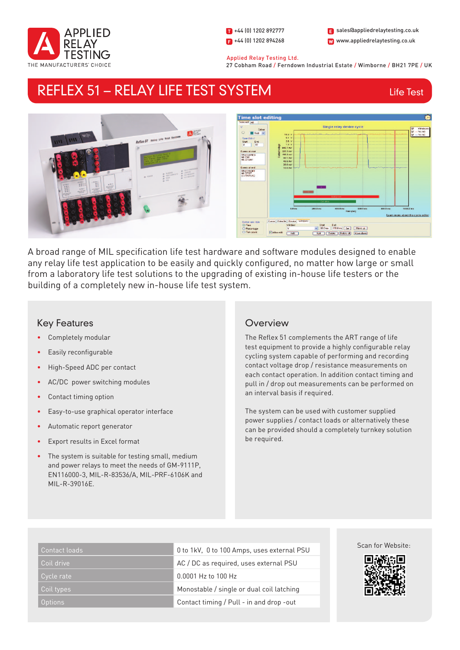

1 +44 (0) 1202 892777  $\Box$  +44 (0) 1202 894268 W www.appliedrelaytesting.co.uk sales@appliedrelaytesting.co.uk

 Applied Relay Testing Ltd. 27 Cobham Road / Ferndown Industrial Estate / Wimborne / BH21 7PE / UK

# REFLEX 51 – RELAY LIFE TEST SYSTEM

Life Test



A broad range of MIL specification life test hardware and software modules designed to enable any relay life test application to be easily and quickly configured, no matter how large or small from a laboratory life test solutions to the upgrading of existing in-house life testers or the building of a completely new in-house life test system.

## Key Features

- Completely modular
- Easily reconfigurable
- High-Speed ADC per contact
- AC/DC power switching modules
- Contact timing option
- Easy-to-use graphical operator interface
- Automatic report generator
- Export results in Excel format
- The system is suitable for testing small, medium and power relays to meet the needs of GM-9111P, EN116000-3, MIL-R-83536/A, MIL-PRF-6106K and MIL-R-39016E.

## **Overview**

The Reflex 51 complements the ART range of life test equipment to provide a highly configurable relay cycling system capable of performing and recording contact voltage drop / resistance measurements on each contact operation. In addition contact timing and pull in / drop out measurements can be performed on an interval basis if required.

The system can be used with customer supplied power supplies / contact loads or alternatively these can be provided should a completely turnkey solution be required.

| Contact loads  | 0 to 1kV, 0 to 100 Amps, uses external PSU |
|----------------|--------------------------------------------|
| Coil drive     | AC / DC as required, uses external PSU     |
| Cycle rate '   | 0.0001 Hz to 100 Hz                        |
| Coil types     | Monostable / single or dual coil latching  |
| <b>Options</b> | Contact timing / Pull - in and drop -out   |

#### Scan for Website: